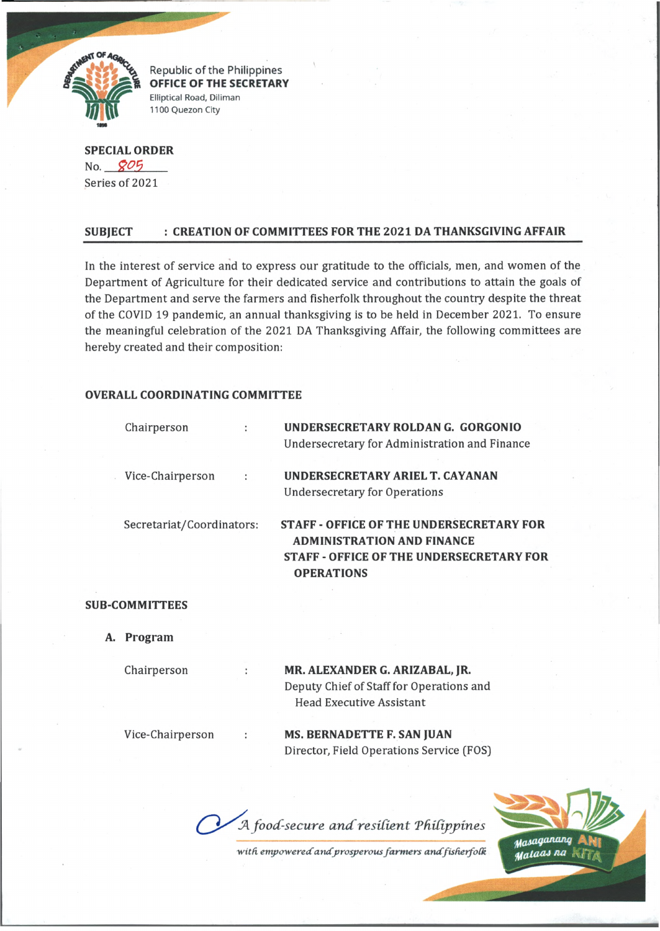

Republic of the Philippines OFFICE OF THE SECRETARY Elliptical Road, Diliman 1100 Quezon City

**SPECIAL ORDER** No. *#05* Series of 2021

## **SUBJECT : CREATION OF COMMITTEES FOR THE 2021 DA THANKSGIVING AFFAIR**

In the interest of service and to express our gratitude to the officials, men, and women of the Department of Agriculture for their dedicated service and contributions to attain the goals of the Department and serve the farmers and fisherfolk throughout the country despite the threat of the COVID 19 pandemic, an annual thanksgiving is to be held in December 2021. To ensure the meaningful celebration of the 2021 DA Thanksgiving Affair, the following committees are hereby created and their composition:

### **OVERALL COORDINATING COMMITTEE**

|                           | Chairperson      |   | UNDERSECRETARY ROLDAN G. GORGONIO<br>Undersecretary for Administration and Finance                                                                           |
|---------------------------|------------------|---|--------------------------------------------------------------------------------------------------------------------------------------------------------------|
|                           | Vice-Chairperson | ÷ | UNDERSECRETARY ARIEL T. CAYANAN<br><b>Undersecretary for Operations</b>                                                                                      |
| Secretariat/Coordinators: |                  |   | <b>STAFF - OFFICE OF THE UNDERSECRETARY FOR</b><br><b>ADMINISTRATION AND FINANCE</b><br><b>STAFF - OFFICE OF THE UNDERSECRETARY FOR</b><br><b>OPERATIONS</b> |

### **SUB-COMMITTEES**

**A. Program**

# Chairperson **MR. ALEXANDER G. ARIZABAL, JR.** Deputy Chief of Staff for Operations and Head Executive Assistant

Vice-Chairperson **MS. BERNADETTE F. SAN JUAN** Director, Field Operations Service (FOS)

A food-secure and resilient Philippines

with empowered and prosperous farmers and fisherfolk

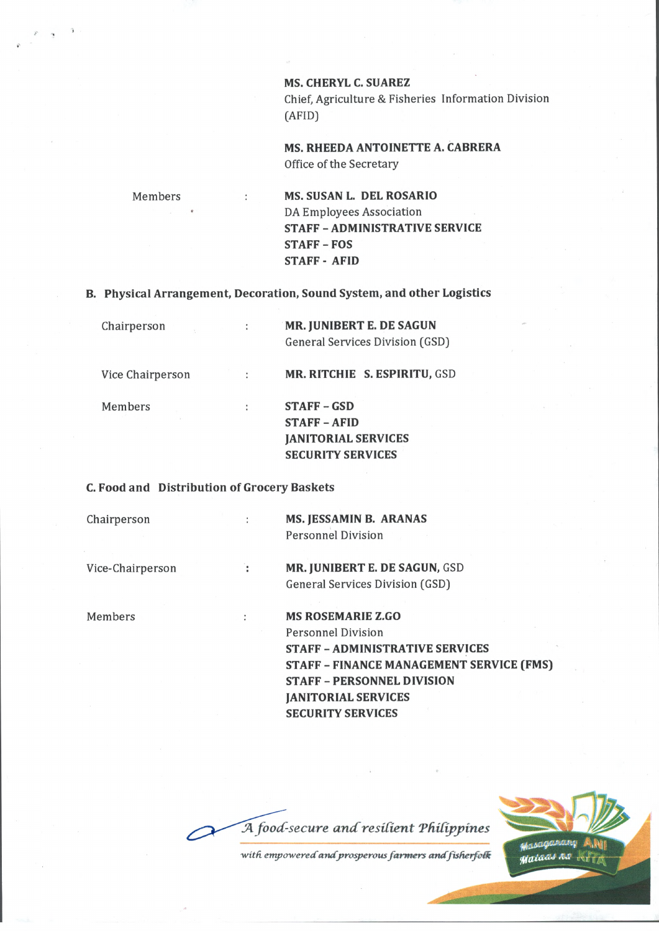**MS. CHERYL C. SUAREZ** Chief, Agriculture & Fisheries Information Division (AFID)

**MS. RHEEDA ANTOINETTE A. CABRERA** Office of the Secretary

Members **MS. SUSAN L. DEL ROSARIO** DA Employees Association **STAFF - ADMINISTRATIVE SERVICE STAFF - FOS STAFF - AFID**

**B. Physical Arrangement, Decoration, Sound System, and other Logistics**

| Chairperson      | MR. JUNIBERT E. DE SAGUN<br>General Services Division (GSD)                                  |
|------------------|----------------------------------------------------------------------------------------------|
| Vice Chairperson | MR. RITCHIE S. ESPIRITU, GSD                                                                 |
| Members          | <b>STAFF-GSD</b><br>$STATE - AFID$<br><b>JANITORIAL SERVICES</b><br><b>SECURITY SERVICES</b> |

#### **C. Food and Distribution of Grocery Baskets**

 $\ddot{\phantom{a}}$ 

Ŧ

 $\ddot{\phantom{a}}$ 

Chairperson

**MS. JESSAMIN B. ARANAS** Personnel Division

Vice-Chairperson

**MR. JUNIBERT E. DE SAGUN,** GSD General Services Division (GSD)

Members

**MS ROSEMARIE Z.GO** Personnel Division **STAFF - ADMINISTRATIVE SERVICES STAFF - FINANCE MANAGEMENT SERVICE (FMS) STAFF - PERSONNEL DIVISION JANITORIAL SERVICES SECURITY SERVICES**

A food-secure and resilient Philippines

with empowered and prosperous farmers and fisherfolk